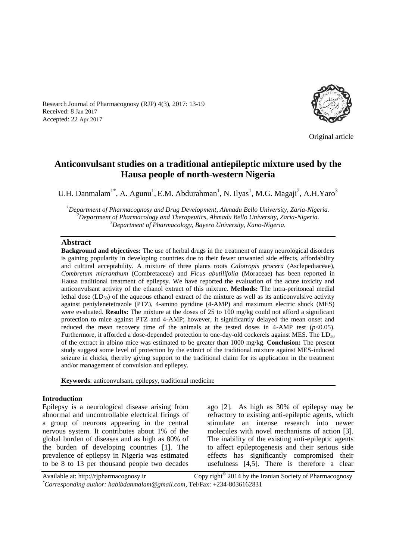Research Journal of Pharmacognosy (RJP) 4(3), 2017: 13-19 Received: 8 Jan 2017 Accepted: 22 Apr 2017



Original article

# **Anticonvulsant studies on a traditional antiepileptic mixture used by the Hausa people of north-western Nigeria**

U.H. Danmalam<sup>1\*</sup>, A. Agunu<sup>1</sup>, E.M. Abdurahman<sup>1</sup>, N. Ilyas<sup>1</sup>, M.G. Magaji<sup>2</sup>, A.H. Yaro<sup>3</sup>

*<sup>1</sup>Department of Pharmacognosy and Drug Development, Ahmadu Bello University, Zaria-Nigeria. <sup>2</sup>Department of Pharmacology and Therapeutics, Ahmadu Bello University, Zaria-Nigeria. <sup>3</sup>Department of Pharmacology, Bayero University, Kano-Nigeria.*

#### **Abstract**

**Background and objectives:** The use of herbal drugs in the treatment of many neurological disorders is gaining popularity in developing countries due to their fewer unwanted side effects, affordability and cultural acceptability. A mixture of three plants roots *Calotropis procera* (Asclepediaceae), *Combretum micranthum* (Combretaceae) and *Ficus abutilifolia* (Moraceae) has been reported in Hausa traditional treatment of epilepsy. We have reported the evaluation of the acute toxicity and anticonvulsant activity of the ethanol extract of this mixture. **Methods:** The intra-peritoneal medial lethal dose  $(LD_{50})$  of the aqueous ethanol extract of the mixture as well as its anticonvulsive activity against pentylenetetrazole (PTZ), 4-amino pyridine (4-AMP) and maximum electric shock (MES) were evaluated. **Results:** The mixture at the doses of 25 to 100 mg/kg could not afford a significant protection to mice against PTZ and 4-AMP; however, it significantly delayed the mean onset and reduced the mean recovery time of the animals at the tested doses in 4-AMP test  $(p<0.05)$ . Furthermore, it afforded a dose-depended protection to one-day-old cockerels against MES. The  $LD_{50}$ of the extract in albino mice was estimated to be greater than 1000 mg/kg. **Conclusion:** The present study suggest some level of protection by the extract of the traditional mixture against MES-induced seizure in chicks, thereby giving support to the traditional claim for its application in the treatment and/or management of convulsion and epilepsy.

**Keywords**: anticonvulsant, epilepsy, traditional medicine

#### **Introduction**

Epilepsy is a neurological disease arising from abnormal and uncontrollable electrical firings of a group of neurons appearing in the central nervous system. It contributes about 1% of the global burden of diseases and as high as 80% of the burden of developing countries [1]. The prevalence of epilepsy in Nigeria was estimated to be 8 to 13 per thousand people two decades ago [2]. As high as 30% of epilepsy may be refractory to existing anti-epileptic agents, which stimulate an intense research into newer molecules with novel mechanisms of action [3]. The inability of the existing anti-epileptic agents to affect epileptogenesis and their serious side effects has significantly compromised their usefulness [4,5]. There is therefore a clear

Available at: http://rjpharmacognosy.ir Copy right $^{\circ}$  2014 by the Iranian Society of Pharmacognosy *\*Corresponding author: habibdanmalam@gmail.com,* Tel/Fax: +234-8036162831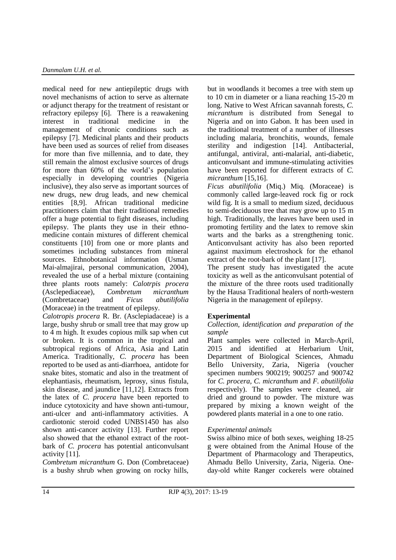medical need for new antiepileptic drugs with novel mechanisms of action to serve as alternate or adjunct therapy for the treatment of resistant or refractory epilepsy [6]. There is a reawakening interest in traditional medicine in the management of chronic conditions such as epilepsy [7]. Medicinal plants and their products have been used as sources of relief from diseases for more than five millennia, and to date, they still remain the almost exclusive sources of drugs for more than 60% of the world's population especially in developing countries (Nigeria inclusive), they also serve as important sources of new drugs, new drug leads, and new chemical entities [8,9]. African traditional medicine practitioners claim that their traditional remedies offer a huge potential to fight diseases, including epilepsy. The plants they use in their ethnomedicine contain mixtures of different chemical constituents [10] from one or more plants and sometimes including substances from mineral sources. Ethnobotanical information (Usman Mai-almajirai, personal communication, 2004), revealed the use of a herbal mixture (containing three plants roots namely: *Calotrpis procera* (Asclepediaceae), *Combretum micranthum*  (Combretaceae) and *Ficus abutilifolia*  (Moraceae) in the treatment of epilepsy. *Calotropis procera* R. Br. (Asclepiadaceae) is a

large, bushy shrub or small tree that may grow up to 4 m high. It exudes copious milk sap when cut or broken. It is common in the tropical and subtropical regions of Africa, Asia and Latin America. Traditionally, *C. procera* has been reported to be used as anti-diarrhoea, antidote for snake bites, stomatic and also in the treatment of elephantiasis, rheumatism, leprosy, sinus fistula, skin disease, and jaundice [11,12]. Extracts from the latex of *C. procera* have been reported to induce cytotoxicity and have shown anti-tumour, anti-ulcer and anti-inflammatory activities. A cardiotonic steroid coded UNBS1450 has also shown anti-cancer activity [13]. Further report also showed that the ethanol extract of the rootbark of *C. procera* has potential anticonvulsant activity [11].

*Combretum micranthum* G. Don (Combretaceae) is a bushy shrub when growing on rocky hills, but in woodlands it becomes a tree with stem up to 10 cm in diameter or a liana reaching 15-20 m long. Native to West African savannah forests, *C. micranthum* is distributed from Senegal to Nigeria and on into Gabon. It has been used in the traditional treatment of a number of illnesses including malaria, bronchitis, wounds, female sterility and indigestion [14]. Antibacterial, antifungal, antiviral, anti-malarial, anti-diabetic, anticonvulsant and immune-stimulating activities have been reported for different extracts of *C. micranthum* [15,16].

*Ficus abutilifolia* (Miq.) Miq. (Moraceae) is commonly called large-leaved rock fig or rock wild fig. It is a small to medium sized, deciduous to semi-deciduous tree that may grow up to 15 m high. Traditionally, the leaves have been used in promoting fertility and the latex to remove skin warts and the barks as a strengthening tonic. Anticonvulsant activity has also been reported against maximum electroshock for the ethanol extract of the root-bark of the plant [17].

The present study has investigated the acute toxicity as well as the anticonvulsant potential of the mixture of the three roots used traditionally by the Hausa Traditional healers of north-western Nigeria in the management of epilepsy.

# **Experimental**

#### *Collection, identification and preparation of the sample*

Plant samples were collected in March-April, 2015 and identified at Herbarium Unit, Department of Biological Sciences, Ahmadu Bello University, Zaria, Nigeria (voucher specimen numbers 900219; 900257 and 900742 for *C. procera, C. micranthum* and *F. abutilifolia* respectively). The samples were cleaned, air dried and ground to powder. The mixture was prepared by mixing a known weight of the powdered plants material in a one to one ratio.

# *Experimental animals*

Swiss albino mice of both sexes, weighing 18-25 g were obtained from the Animal House of the Department of Pharmacology and Therapeutics, Ahmadu Bello University, Zaria, Nigeria. Oneday-old white Ranger cockerels were obtained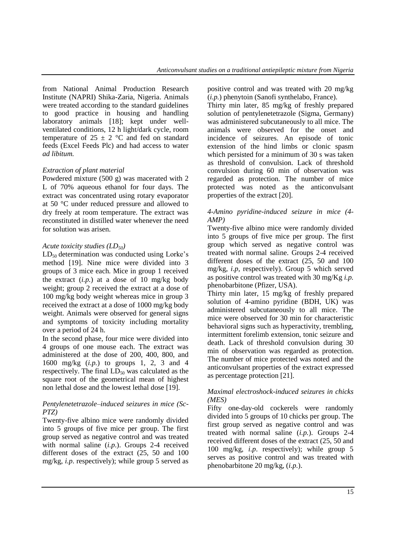from National Animal Production Research Institute (NAPRI) Shika-Zaria, Nigeria. Animals were treated according to the standard guidelines to good practice in housing and handling laboratory animals [18]; kept under wellventilated conditions, 12 h light/dark cycle, room temperature of  $25 \pm 2$  °C and fed on standard feeds (Excel Feeds Plc) and had access to water *ad libitum.* 

#### *Extraction of plant material*

Powdered mixture (500 g) was macerated with 2 L of 70% aqueous ethanol for four days. The extract was concentrated using rotary evaporator at 50 °C under reduced pressure and allowed to dry freely at room temperature. The extract was reconstituted in distilled water whenever the need for solution was arisen.

#### *Acute toxicity studies (LD50)*

 $LD_{50}$  determination was conducted using Lorke's method [19]. Nine mice were divided into 3 groups of 3 mice each. Mice in group 1 received the extract (*i.p.*) at a dose of 10 mg/kg body weight; group 2 received the extract at a dose of 100 mg/kg body weight whereas mice in group 3 received the extract at a dose of 1000 mg/kg body weight. Animals were observed for general signs and symptoms of toxicity including mortality over a period of 24 h.

In the second phase, four mice were divided into 4 groups of one mouse each. The extract was administered at the dose of 200, 400, 800, and 1600 mg/kg (*i.p.*) to groups 1, 2, 3 and 4 respectively. The final  $LD_{50}$  was calculated as the square root of the geometrical mean of highest non lethal dose and the lowest lethal dose [19].

#### *Pentylenetetrazole–induced seizures in mice (Sc-PTZ)*

Twenty-five albino mice were randomly divided into 5 groups of five mice per group. The first group served as negative control and was treated with normal saline (*i.p*.). Groups 2-4 received different doses of the extract (25, 50 and 100 mg/kg, *i.p*. respectively); while group 5 served as positive control and was treated with 20 mg/kg (*i.p.*) phenytoin (Sanofi synthelabo, France).

Thirty min later, 85 mg/kg of freshly prepared solution of pentylenetetrazole (Sigma, Germany) was administered subcutaneously to all mice. The animals were observed for the onset and incidence of seizures. An episode of tonic extension of the hind limbs or clonic spasm which persisted for a minimum of 30 s was taken as threshold of convulsion. Lack of threshold convulsion during 60 min of observation was regarded as protection. The number of mice protected was noted as the anticonvulsant properties of the extract [20].

#### *4-Amino pyridine-induced seizure in mice (4- AMP)*

Twenty-five albino mice were randomly divided into 5 groups of five mice per group. The first group which served as negative control was treated with normal saline. Groups 2-4 received different doses of the extract  $(25, 50, 100)$ mg/kg, *i.p*, respectively). Group 5 which served as positive control was treated with 30 mg/Kg *i.p.*  phenobarbitone (Pfizer, USA).

Thirty min later, 15 mg/kg of freshly prepared solution of 4-amino pyridine (BDH, UK) was administered subcutaneously to all mice. The mice were observed for 30 min for characteristic behavioral signs such as hyperactivity, trembling, intermittent forelimb extension, tonic seizure and death. Lack of threshold convulsion during 30 min of observation was regarded as protection. The number of mice protected was noted and the anticonvulsant properties of the extract expressed as percentage protection [21].

#### *Maximal electroshock-induced seizures in chicks (MES)*

Fifty one-day-old cockerels were randomly divided into 5 groups of 10 chicks per group. The first group served as negative control and was treated with normal saline (*i.p.*). Groups 2-4 received different doses of the extract (25, 50 and 100 mg/kg, *i.p*. respectively); while group 5 serves as positive control and was treated with phenobarbitone 20 mg/kg, (*i.p.*).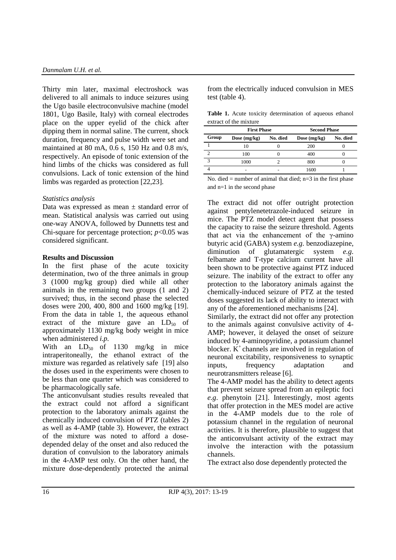Thirty min later, maximal electroshock was delivered to all animals to induce seizures using the Ugo basile electroconvulsive machine (model 1801, Ugo Basile, Italy) with corneal electrodes place on the upper eyelid of the chick after dipping them in normal saline. The current, shock duration, frequency and pulse width were set and maintained at 80 mA, 0.6 s, 150 Hz and 0.8 m/s, respectively. An episode of tonic extension of the hind limbs of the chicks was considered as full convulsions. Lack of tonic extension of the hind limbs was regarded as protection [22,23].

# *Statistics analysis*

Data was expressed as mean  $\pm$  standard error of mean. Statistical analysis was carried out using one-way ANOVA, followed by Dunnetts test and Chi-square for percentage protection; *p*<0.05 was considered significant.

# **Results and Discussion**

In the first phase of the acute toxicity determination, two of the three animals in group 3 (1000 mg/kg group) died while all other animals in the remaining two groups (1 and 2) survived; thus, in the second phase the selected doses were 200, 400, 800 and 1600 mg/kg [19]. From the data in table 1, the aqueous ethanol extract of the mixture gave an  $LD_{50}$  of approximately 1130 mg/kg body weight in mice when administered *i.p.*

With an  $LD_{50}$  of 1130 mg/kg in mice intraperitoneally, the ethanol extract of the mixture was regarded as relatively safe [19] also the doses used in the experiments were chosen to be less than one quarter which was considered to be pharmacologically safe.

The anticonvulsant studies results revealed that the extract could not afford a significant protection to the laboratory animals against the chemically induced convulsion of PTZ (tables 2) as well as 4-AMP (table 3). However, the extract of the mixture was noted to afford a dosedepended delay of the onset and also reduced the duration of convulsion to the laboratory animals in the 4-AMP test only. On the other hand, the mixture dose-dependently protected the animal from the electrically induced convulsion in MES test (table 4).

**Table 1.** Acute toxicity determination of aqueous ethanol extract of the mixture

|                        | <b>First Phase</b> |          | <b>Second Phase</b> |          |
|------------------------|--------------------|----------|---------------------|----------|
| Group                  | Dose $(mg/kg)$     | No. died | Dose $(mg/kg)$      | No. died |
|                        | 10                 |          | 200                 |          |
|                        | 100                |          | 400                 |          |
| $\mathbf{\mathcal{R}}$ | 1000               |          | 800                 |          |
|                        |                    |          | 1600                |          |

No. died  $=$  number of animal that died;  $n=3$  in the first phase and n=1 in the second phase

The extract did not offer outright protection against pentylenetetrazole-induced seizure in mice. The PTZ model detect agent that possess the capacity to raise the seizure threshold. Agents that act via the enhancement of the  $\gamma$ -amino butyric acid (GABA) system *e.g*. benzodiazepine, diminution of glutamatergic system *e.g*. felbamate and T-type calcium current have all been shown to be protective against PTZ induced seizure. The inability of the extract to offer any protection to the laboratory animals against the chemically-induced seizure of PTZ at the tested doses suggested its lack of ability to interact with any of the aforementioned mechanisms [24].

Similarly, the extract did not offer any protection to the animals against convulsive activity of 4- AMP; however, it delayed the onset of seizure induced by 4-aminopyridine, a potassium channel blocker.  $K^+$  channels are involved in regulation of neuronal excitability, responsiveness to synaptic inputs, frequency adaptation and neurotransmitters release [6].

The 4-AMP model has the ability to detect agents that prevent seizure spread from an epileptic foci *e.g*. phenytoin [21]. Interestingly, most agents that offer protection in the MES model are active in the 4-AMP models due to the role of potassium channel in the regulation of neuronal activities. It is therefore, plausible to suggest that the anticonvulsant activity of the extract may involve the interaction with the potassium channels.

The extract also dose dependently protected the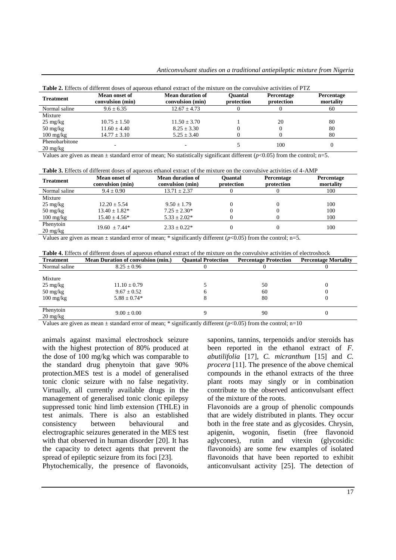| <b>Treatment</b>    | Mean onset of<br>convulsion (min) | <b>Mean duration of</b><br>convulsion (min) | <b>Ouantal</b><br>protection | <b>Percentage</b><br>protection | <b>Percentage</b><br>mortality |
|---------------------|-----------------------------------|---------------------------------------------|------------------------------|---------------------------------|--------------------------------|
| Normal saline       | $9.6 \pm 6.35$                    | $12.67 + 4.73$                              |                              |                                 | 60                             |
| Mixture             |                                   |                                             |                              |                                 |                                |
| $25 \text{ mg/kg}$  | $10.75 + 1.50$                    | $11.50 + 3.70$                              |                              | 20                              | 80                             |
| $50 \text{ mg/kg}$  | $11.60 + 4.40$                    | $8.25 + 3.30$                               |                              |                                 | 80                             |
| $100 \text{ mg/kg}$ | $14.77 \pm 3.10$                  | $5.25 + 3.40$                               |                              |                                 | 80                             |
| Phenobarbitone      |                                   |                                             |                              | 100                             |                                |
| $20 \text{ mg/kg}$  |                                   |                                             |                              |                                 |                                |

**Table 2.** Effects of different doses of aqueous ethanol extract of the mixture on the convulsive activities of PTZ

Values are given as mean  $\pm$  standard error of mean; No statistically significant different ( $p$ <0.05) from the control; n=5.

| <b>Table 3.</b> Effects of different doses of aqueous ethanol extract of the mixture on the convulsive activities of 4-AMP |  |  |
|----------------------------------------------------------------------------------------------------------------------------|--|--|
|----------------------------------------------------------------------------------------------------------------------------|--|--|

| <b>Treatment</b>                              | Mean onset of<br>convulsion (min) | <b>Mean duration of</b><br>convulsion (min) | <b>Ouantal</b><br>protection | <b>Percentage</b><br>protection | <b>Percentage</b><br>mortality |
|-----------------------------------------------|-----------------------------------|---------------------------------------------|------------------------------|---------------------------------|--------------------------------|
| Normal saline                                 | $9.4 + 0.90$                      | $13.71 \pm 2.37$                            |                              |                                 | 100                            |
| Mixture                                       |                                   |                                             |                              |                                 |                                |
| $25 \text{ mg/kg}$                            | $12.20 + 5.54$                    | $9.50 + 1.79$                               |                              |                                 | 100                            |
| $50 \text{ mg/kg}$                            | $13.40 \pm 1.82^*$                | $7.25 + 2.30*$                              |                              |                                 | 100                            |
| $100 \text{ mg/kg}$                           | $15.40 + 4.56*$                   | $5.33 + 2.02*$                              |                              |                                 | 100                            |
| Phenytoin<br>$20 \frac{\text{mg}}{\text{kg}}$ | $19.60 + 7.44*$                   | $2.33 + 0.22*$                              |                              |                                 | 100                            |

Values are given as mean  $\pm$  standard error of mean; \* significantly different ( $p$ <0.05) from the control; n=5.

| <b>Table 4.</b> Effects of different doses of aqueous ethanol extract of the mixture on the convulsive activities of electroshock |  |  |  |
|-----------------------------------------------------------------------------------------------------------------------------------|--|--|--|
|-----------------------------------------------------------------------------------------------------------------------------------|--|--|--|

| <b>Treatment</b>                                                           | <b>Mean Duration of convulsion (min.)</b>               | <b>Ouantal Protection</b> | <b>Percentage Protection</b> | <b>Percentage Mortality</b> |
|----------------------------------------------------------------------------|---------------------------------------------------------|---------------------------|------------------------------|-----------------------------|
| Normal saline                                                              | $8.25 \pm 0.96$                                         |                           |                              |                             |
| Mixture<br>$25 \text{ mg/kg}$<br>$50 \text{ mg/kg}$<br>$100 \text{ mg/kg}$ | $11.10 \pm 0.79$<br>$9.67 \pm 0.52$<br>$5.88 \pm 0.74*$ |                           | 50<br>60<br>80               |                             |
| Phenytoin<br>$20 \text{ mg/kg}$                                            | $9.00 \pm 0.00$                                         |                           | 90                           |                             |

Values are given as mean  $\pm$  standard error of mean; \* significantly different ( $p$ <0.05) from the control; n=10

animals against maximal electroshock seizure with the highest protection of 80% produced at the dose of 100 mg/kg which was comparable to the standard drug phenytoin that gave 90% protection.MES test is a model of generalised tonic clonic seizure with no false negativity. Virtually, all currently available drugs in the management of generalised tonic clonic epilepsy suppressed tonic hind limb extension (THLE) in test animals. There is also an established consistency between behavioural and electrographic seizures generated in the MES test with that observed in human disorder [20]. It has the capacity to detect agents that prevent the spread of epileptic seizure from its foci [23].

Phytochemically, the presence of flavonoids,

saponins, tannins, terpenoids and/or steroids has been reported in the ethanol extract of *F. abutilifolia* [17], *C. micranthum* [15] and *C. procera* [11]. The presence of the above chemical compounds in the ethanol extracts of the three plant roots may singly or in combination contribute to the observed anticonvulsant effect of the mixture of the roots.

Flavonoids are a group of phenolic compounds that are widely distributed in plants. They occur both in the free state and as glycosides. Chrysin, apigenin, wogonin, fisetin (free flavonoid aglycones), rutin and vitexin (glycosidic flavonoids) are some few examples of isolated flavonoids that have been reported to exhibit anticonvulsant activity [25]. The detection of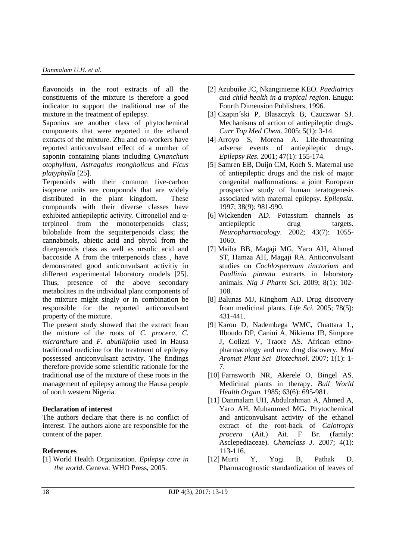flavonoids in the root extracts of all the constituents of the mixture is therefore a good indicator to support the traditional use of the mixture in the treatment of epilepsy.

Saponins are another class of phytochemical components that were reported in the ethanol extracts of the mixture. Zhu and co-workers have reported anticonvulsant effect of a number of saponin containing plants including *Cynanchum otophyllum, Astragalus mongholicus* and *Ficus platyphylla* [25].

Terpenoids with their common five-carbon isoprene units are compounds that are widely distributed in the plant kingdom. These compounds with their diverse classes have exhibited antiepileptic activity. Citronellol and αterpineol from the monoterpenoids class; bilobalide from the sequiterpenoids class; the cannabinols, abietic acid and phytol from the diterpenoids class as well as ursolic acid and baccoside A from the triterpenoids class , have demonstrated good anticonvulsant activitiy in different experimental laboratory models [25]. Thus, presence of the above secondary metabolites in the individual plant components of the mixture might singly or in combination be responsible for the reported anticonvulsant property of the mixture.

The present study showed that the extract from the mixture of the roots of *C. procera*, *C. micranthum* and *F. abutilifolia* used in Hausa traditional medicine for the treatment of epilepsy possessed anticonvulsant activity. The findings therefore provide some scientific rationale for the traditional use of the mixture of these roots in the management of epilepsy among the Hausa people of north western Nigeria.

# **Declaration of interest**

The authors declare that there is no conflict of interest. The authors alone are responsible for the content of the paper.

# **References**

[1] World Health Organization. *Epilepsy care in the world*. Geneva: WHO Press, 2005.

- [2] Azubuike JC, Nkanginieme KEO. *Paediatrics and child health in a tropical region*. Enugu: Fourth Dimension Publishers, 1996.
- [3] Czapin´ski P, Blaszczyk B, Czuczwar SJ. Mechanisms of action of antiepileptic drugs. *Curr Top Med Chem*. 2005; 5(1): 3-14.
- [4] Arroyo S, Morena A. Life-threatening adverse events of antiepileptic drugs. *Epilepsy Res.* 2001; 47(1): 155-174.
- [5] Samren EB, Duijn CM, Koch S. Maternal use of antiepileptic drugs and the risk of major congenital malformations: a joint European prospective study of human teratogenesis associated with maternal epilepsy. *Epilepsia*. 1997; 38(9): 981-990.
- [6] Wickenden AD. Potassium channels as antiepileptic drug targets. *Neuropharmacology*. 2002; 43(7): 1055- 1060.
- [7] Maiha BB, Magaji MG, Yaro AH, Ahmed ST, Hamza AH, Magaji RA. Anticonvulsant studies on *Cochlospermum tinctorium* and *Paullinia pinnata* extracts in laboratory animals. *Nig J Pharm Sci*. 2009; 8(1): 102- 108.
- [8] Balunas MJ, Kinghorn AD. Drug discovery from medicinal plants. *Life Sci.* 2005; 78(5): 431-441.
- [9] Karou D, Nadembega WMC, Ouattara L, Ilboudo DP, Canini A, Nikiema JB, Simpore J, Colizzi V, Traore AS. African ethnopharmacology and new drug discovery. *Med Aromat Plant Sci Biotechnol*. 2007; 1(1): 1- 7.
- [10] Farnsworth NR, Akerele O, Bingel AS. Medicinal plants in therapy. *Bull World Health Organ.* 1985; 63(6): 695-981.
- [11] Danmalam UH, Abdulrahman A, Ahmed A, Yaro AH, Muhammed MG. Phytochemical and anticonvulsant activity of the ethanol extract of the root-back of *Calotropis procera* (Ait.) Ait. F Br. (family: Asclepediaceae). *Chemclass J.* 2007; 4(1): 113-116.
- [12] Murti Y, Yogi B, Pathak D. Pharmacognostic standardization of leaves of